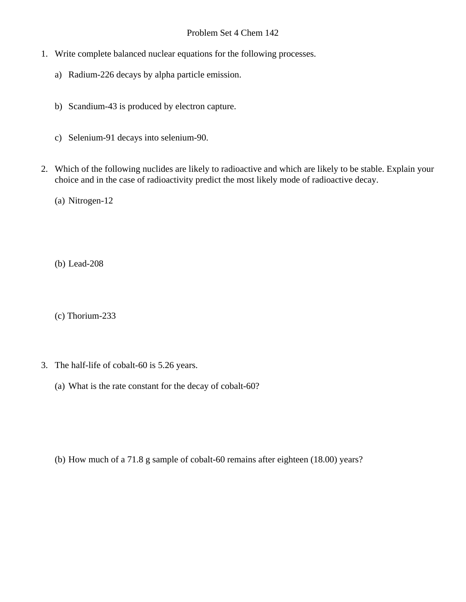## Problem Set 4 Chem 142

- 1. Write complete balanced nuclear equations for the following processes.
	- a) Radium-226 decays by alpha particle emission.
	- b) Scandium-43 is produced by electron capture.
	- c) Selenium-91 decays into selenium-90.
- 2. Which of the following nuclides are likely to radioactive and which are likely to be stable. Explain your choice and in the case of radioactivity predict the most likely mode of radioactive decay.
	- (a) Nitrogen-12
	- (b) Lead-208
	- (c) Thorium-233
- 3. The half-life of cobalt-60 is 5.26 years.
	- (a) What is the rate constant for the decay of cobalt-60?

(b) How much of a 71.8 g sample of cobalt-60 remains after eighteen (18.00) years?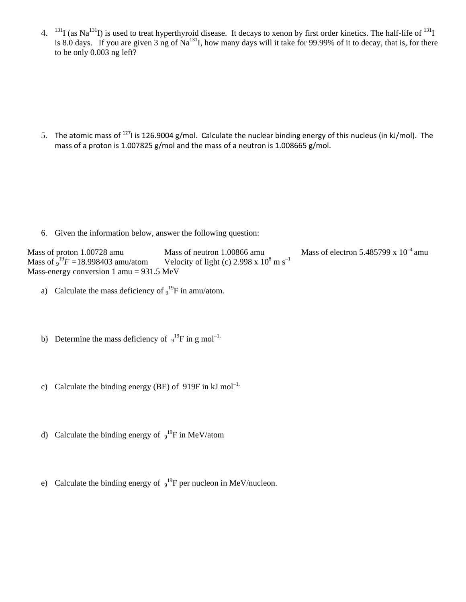4.  $^{131}I$  (as Na<sup>131</sup>I) is used to treat hyperthyroid disease. It decays to xenon by first order kinetics. The half-life of <sup>131</sup>I is 8.0 days. If you are given 3 ng of Na<sup>131</sup>I, how many days will it take for 99.99% of it to decay, that is, for there to be only 0.003 ng left?

5. The atomic mass of <sup>127</sup>I is 126.9004 g/mol. Calculate the nuclear binding energy of this nucleus (in kJ/mol). The mass of a proton is 1.007825 g/mol and the mass of a neutron is 1.008665 g/mol.

6. Given the information below, answer the following question:

Mass of proton 1.00728 amu Mass of neutron 1.00866 amu Mass of electron 5.485799 x  $10^{-4}$  amu Mass of  $_9^{19}F = 18.998403$  amu/atom <sup>19</sup>*F* = 18.998403 amu/atom Velocity of light (c) 2.998 x 10<sup>8</sup> m s<sup>-1</sup> Mass-energy conversion 1 amu = 931.5 MeV

- a) Calculate the mass deficiency of  $9^{19}F$  in amu/atom.
- b) Determine the mass deficiency of  $9^{19}F$  in g mol<sup>-1.</sup>
- c) Calculate the binding energy (BE) of 919F in  $kJ$  mol<sup>-1.</sup>
- d) Calculate the binding energy of  $9^{19}F$  in MeV/atom
- e) Calculate the binding energy of  $9^{19}F$  per nucleon in MeV/nucleon.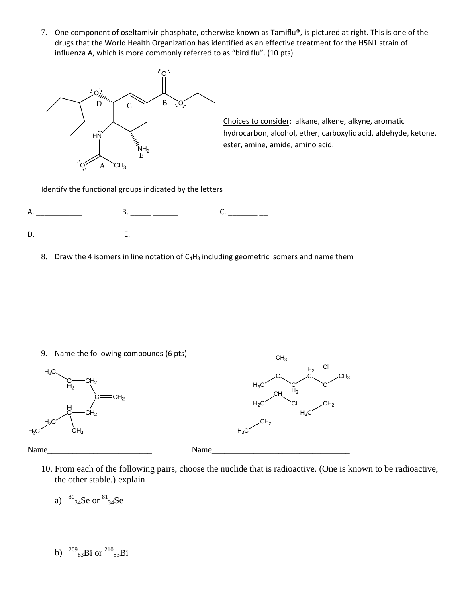7. One component of oseltamivir phosphate, otherwise known as Tamiflu®, is pictured at right. This is one of the drugs that the World Health Organization has identified as an effective treatment for the H5N1 strain of influenza A, which is more commonly referred to as "bird flu". (10 pts)



Choices to consider: alkane, alkene, alkyne, aromatic hydrocarbon, alcohol, ether, carboxylic acid, aldehyde, ketone, ester, amine, amide, amino acid.

Identify the functional groups indicated by the letters



8. Draw the 4 isomers in line notation of  $C_4H_8$  including geometric isomers and name them

9. Name the following compounds (6 pts)





10. From each of the following pairs, choose the nuclide that is radioactive. (One is known to be radioactive, the other stable.) explain

a)  $^{80}_{34}$ Se or  $^{81}_{34}$ Se

b)  $^{209}$ <sub>83</sub>Bi or  $^{210}$ <sub>83</sub>Bi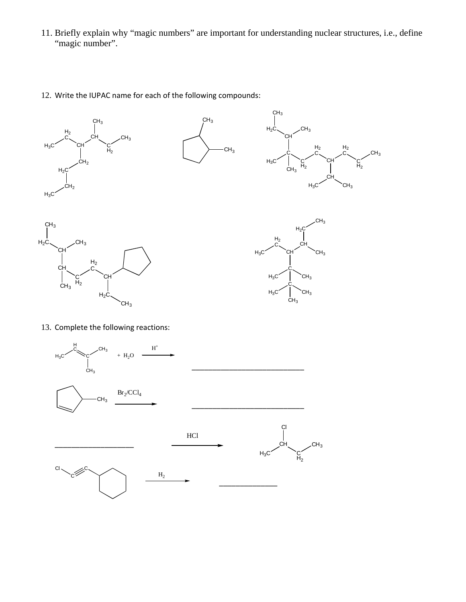- 11. Briefly explain why "magic numbers" are important for understanding nuclear structures, i.e., define "magic number".
- 12. Write the IUPAC name for each of the following compounds:











13. Complete the following reactions: